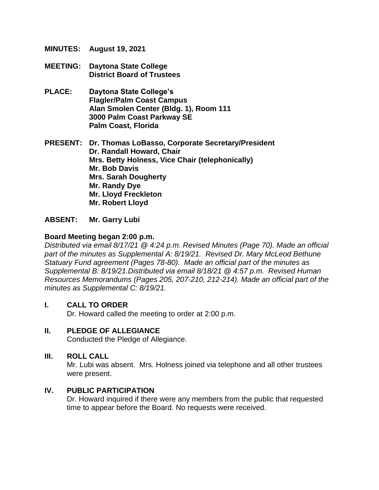- **MINUTES: August 19, 2021**
- **MEETING: Daytona State College District Board of Trustees**
- **PLACE: Daytona State College's Flagler/Palm Coast Campus Alan Smolen Center (Bldg. 1), Room 111 3000 Palm Coast Parkway SE Palm Coast, Florida**

**PRESENT: Dr. Thomas LoBasso, Corporate Secretary/President Dr. Randall Howard, Chair Mrs. Betty Holness, Vice Chair (telephonically) Mr. Bob Davis Mrs. Sarah Dougherty Mr. Randy Dye Mr. Lloyd Freckleton Mr. Robert Lloyd** 

#### **ABSENT: Mr. Garry Lubi**

#### **Board Meeting began 2:00 p.m.**

*Distributed via email 8/17/21 @ 4:24 p.m. Revised Minutes (Page 70). Made an official*  part of the minutes as Supplemental A: 8/19/21. Revised Dr. Mary McLeod Bethune *Statuary Fund agreement (Pages 78-80). Made an official part of the minutes as Supplemental B: 8/19/21.Distributed via email 8/18/21 @ 4:57 p.m. Revised Human Resources Memorandums (Pages 205, 207-210, 212-214). Made an official part of the minutes as Supplemental C: 8/19/21.* 

#### **I. CALL TO ORDER**

Dr. Howard called the meeting to order at 2:00 p.m.

#### **II. PLEDGE OF ALLEGIANCE**

Conducted the Pledge of Allegiance.

#### **III. ROLL CALL**

Mr. Lubi was absent. Mrs. Holness joined via telephone and all other trustees were present.

#### **IV. PUBLIC PARTICIPATION**

Dr. Howard inquired if there were any members from the public that requested time to appear before the Board. No requests were received.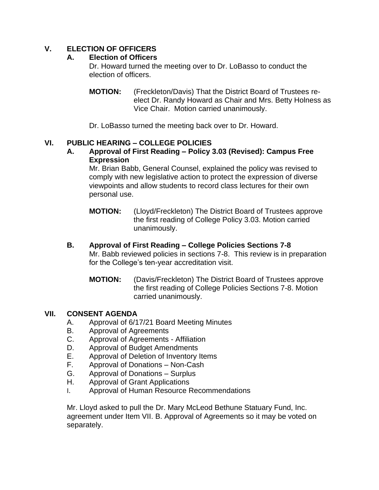# **V. ELECTION OF OFFICERS**

## **A. Election of Officers**

Dr. Howard turned the meeting over to Dr. LoBasso to conduct the election of officers.

**MOTION:** (Freckleton/Davis) That the District Board of Trustees reelect Dr. Randy Howard as Chair and Mrs. Betty Holness as Vice Chair. Motion carried unanimously.

Dr. LoBasso turned the meeting back over to Dr. Howard.

## **VI. PUBLIC HEARING – COLLEGE POLICIES**

**A. Approval of First Reading – Policy 3.03 (Revised): Campus Free Expression**

Mr. Brian Babb, General Counsel, explained the policy was revised to comply with new legislative action to protect the expression of diverse viewpoints and allow students to record class lectures for their own personal use.

**MOTION:** (Lloyd/Freckleton) The District Board of Trustees approve the first reading of College Policy 3.03. Motion carried unanimously.

# **B. Approval of First Reading – College Policies Sections 7-8**

Mr. Babb reviewed policies in sections 7-8. This review is in preparation for the College's ten-year accreditation visit.

**MOTION:** (Davis/Freckleton) The District Board of Trustees approve the first reading of College Policies Sections 7-8. Motion carried unanimously.

## **VII. CONSENT AGENDA**

- A. Approval of 6/17/21 Board Meeting Minutes
- B. Approval of Agreements
- C. Approval of Agreements Affiliation
- D. Approval of Budget Amendments
- E. Approval of Deletion of Inventory Items
- F. Approval of Donations Non-Cash
- G. Approval of Donations Surplus
- H. Approval of Grant Applications
- I. Approval of Human Resource Recommendations

Mr. Lloyd asked to pull the Dr. Mary McLeod Bethune Statuary Fund, Inc. agreement under Item VII. B. Approval of Agreements so it may be voted on separately.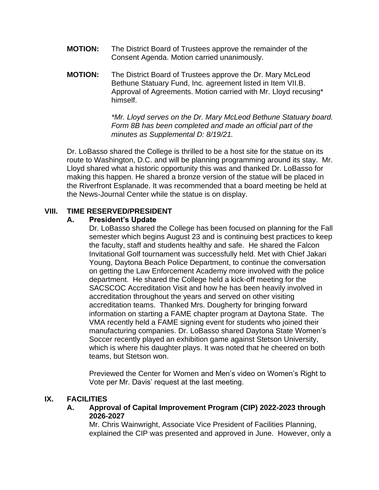- **MOTION:** The District Board of Trustees approve the remainder of the Consent Agenda. Motion carried unanimously.
- **MOTION:** The District Board of Trustees approve the Dr. Mary McLeod Bethune Statuary Fund, Inc. agreement listed in Item VII.B. Approval of Agreements. Motion carried with Mr. Lloyd recusing\* himself.

*\*Mr. Lloyd serves on the Dr. Mary McLeod Bethune Statuary board. Form 8B has been completed and made an official part of the minutes as Supplemental D: 8/19/21.*

Dr. LoBasso shared the College is thrilled to be a host site for the statue on its route to Washington, D.C. and will be planning programming around its stay. Mr. Lloyd shared what a historic opportunity this was and thanked Dr. LoBasso for making this happen. He shared a bronze version of the statue will be placed in the Riverfront Esplanade. It was recommended that a board meeting be held at the News-Journal Center while the statue is on display.

#### **VIII. TIME RESERVED/PRESIDENT**

#### **A. President's Update**

Dr. LoBasso shared the College has been focused on planning for the Fall semester which begins August 23 and is continuing best practices to keep the faculty, staff and students healthy and safe. He shared the Falcon Invitational Golf tournament was successfully held. Met with Chief Jakari Young, Daytona Beach Police Department, to continue the conversation on getting the Law Enforcement Academy more involved with the police department. He shared the College held a kick-off meeting for the SACSCOC Accreditation Visit and how he has been heavily involved in accreditation throughout the years and served on other visiting accreditation teams. Thanked Mrs. Dougherty for bringing forward information on starting a FAME chapter program at Daytona State. The VMA recently held a FAME signing event for students who joined their manufacturing companies. Dr. LoBasso shared Daytona State Women's Soccer recently played an exhibition game against Stetson University, which is where his daughter plays. It was noted that he cheered on both teams, but Stetson won.

Previewed the Center for Women and Men's video on Women's Right to Vote per Mr. Davis' request at the last meeting.

#### **IX. FACILITIES**

**A. Approval of Capital Improvement Program (CIP) 2022-2023 through 2026-2027**

Mr. Chris Wainwright, Associate Vice President of Facilities Planning, explained the CIP was presented and approved in June. However, only a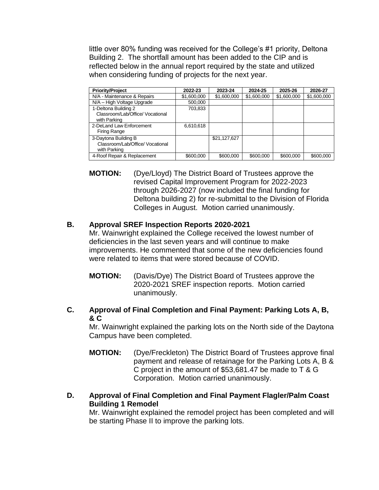little over 80% funding was received for the College's #1 priority, Deltona Building 2. The shortfall amount has been added to the CIP and is reflected below in the annual report required by the state and utilized when considering funding of projects for the next year.

| <b>Priority/Project</b>                                                  | 2022-23     | 2023-24      | 2024-25     | 2025-26     | 2026-27     |
|--------------------------------------------------------------------------|-------------|--------------|-------------|-------------|-------------|
| N/A - Maintenance & Repairs                                              | \$1,600,000 | \$1,600,000  | \$1,600,000 | \$1,600,000 | \$1,600,000 |
| N/A - High Voltage Upgrade                                               | 500,000     |              |             |             |             |
| 1-Deltona Building 2                                                     | 703,833     |              |             |             |             |
| Classroom/Lab/Office/ Vocational<br>with Parking                         |             |              |             |             |             |
| 2-DeLand Law Enforcement<br><b>Firing Range</b>                          | 6,610,618   |              |             |             |             |
| 3-Daytona Building B<br>Classroom/Lab/Office/ Vocational<br>with Parking |             | \$21,127,627 |             |             |             |
| 4-Roof Repair & Replacement                                              | \$600,000   | \$600,000    | \$600,000   | \$600,000   | \$600,000   |

**MOTION:** (Dye/Lloyd) The District Board of Trustees approve the revised Capital Improvement Program for 2022-2023 through 2026-2027 (now included the final funding for Deltona building 2) for re-submittal to the Division of Florida Colleges in August. Motion carried unanimously.

## **B. Approval SREF Inspection Reports 2020-2021**

Mr. Wainwright explained the College received the lowest number of deficiencies in the last seven years and will continue to make improvements. He commented that some of the new deficiencies found were related to items that were stored because of COVID.

- **MOTION:** (Davis/Dye) The District Board of Trustees approve the 2020-2021 SREF inspection reports. Motion carried unanimously.
- **C. Approval of Final Completion and Final Payment: Parking Lots A, B, & C**

Mr. Wainwright explained the parking lots on the North side of the Daytona Campus have been completed.

- **MOTION:** (Dye/Freckleton) The District Board of Trustees approve final payment and release of retainage for the Parking Lots A, B & C project in the amount of \$53,681.47 be made to T & G Corporation. Motion carried unanimously.
- **D. Approval of Final Completion and Final Payment Flagler/Palm Coast Building 1 Remodel**

Mr. Wainwright explained the remodel project has been completed and will be starting Phase II to improve the parking lots.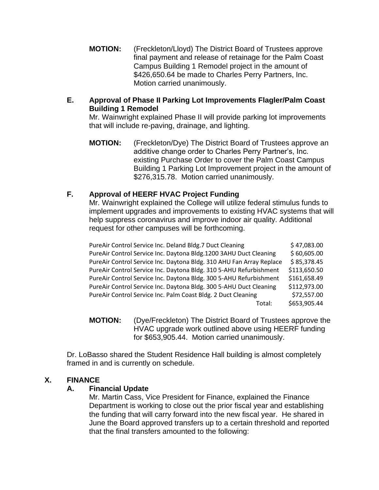**MOTION:** (Freckleton/Lloyd) The District Board of Trustees approve final payment and release of retainage for the Palm Coast Campus Building 1 Remodel project in the amount of \$426,650.64 be made to Charles Perry Partners, Inc. Motion carried unanimously.

## **E. Approval of Phase II Parking Lot Improvements Flagler/Palm Coast Building 1 Remodel**

Mr. Wainwright explained Phase II will provide parking lot improvements that will include re-paving, drainage, and lighting.

**MOTION:** (Freckleton/Dye) The District Board of Trustees approve an additive change order to Charles Perry Partner's, Inc. existing Purchase Order to cover the Palm Coast Campus Building 1 Parking Lot Improvement project in the amount of \$276,315.78. Motion carried unanimously.

## **F. Approval of HEERF HVAC Project Funding**

Mr. Wainwright explained the College will utilize federal stimulus funds to implement upgrades and improvements to existing HVAC systems that will help suppress coronavirus and improve indoor air quality. Additional request for other campuses will be forthcoming.

| PureAir Control Service Inc. Deland Bldg.7 Duct Cleaning             | \$47,083.00  |
|----------------------------------------------------------------------|--------------|
| PureAir Control Service Inc. Daytona Bldg.1200 3AHU Duct Cleaning    | \$60,605.00  |
| PureAir Control Service Inc. Daytona Bldg. 310 AHU Fan Array Replace | \$85,378.45  |
| PureAir Control Service Inc. Daytona Bldg. 310 5-AHU Refurbishment   | \$113,650.50 |
| PureAir Control Service Inc. Daytona Bldg. 300 5-AHU Refurbishment   | \$161,658.49 |
| PureAir Control Service Inc. Daytona Bldg. 300 5-AHU Duct Cleaning   | \$112,973.00 |
| PureAir Control Service Inc. Palm Coast Bldg. 2 Duct Cleaning        | \$72,557.00  |
| Total:                                                               | \$653,905.44 |

**MOTION:** (Dye/Freckleton) The District Board of Trustees approve the HVAC upgrade work outlined above using HEERF funding for \$653,905.44. Motion carried unanimously.

Dr. LoBasso shared the Student Residence Hall building is almost completely framed in and is currently on schedule.

## **X. FINANCE**

## **A. Financial Update**

Mr. Martin Cass, Vice President for Finance, explained the Finance Department is working to close out the prior fiscal year and establishing the funding that will carry forward into the new fiscal year. He shared in June the Board approved transfers up to a certain threshold and reported that the final transfers amounted to the following: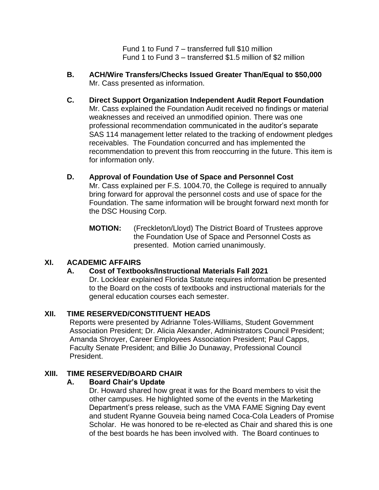Fund 1 to Fund 7 – transferred full \$10 million Fund 1 to Fund 3 – transferred \$1.5 million of \$2 million

- **B. ACH/Wire Transfers/Checks Issued Greater Than/Equal to \$50,000**  Mr. Cass presented as information.
- **C. Direct Support Organization Independent Audit Report Foundation** Mr. Cass explained the Foundation Audit received no findings or material weaknesses and received an unmodified opinion. There was one professional recommendation communicated in the auditor's separate SAS 114 management letter related to the tracking of endowment pledges receivables. The Foundation concurred and has implemented the recommendation to prevent this from reoccurring in the future. This item is for information only.
- **D. Approval of Foundation Use of Space and Personnel Cost** Mr. Cass explained per F.S. 1004.70, the College is required to annually bring forward for approval the personnel costs and use of space for the Foundation. The same information will be brought forward next month for the DSC Housing Corp.
	- **MOTION:** (Freckleton/Lloyd) The District Board of Trustees approve the Foundation Use of Space and Personnel Costs as presented. Motion carried unanimously.

## **XI. ACADEMIC AFFAIRS**

## **A. Cost of Textbooks/Instructional Materials Fall 2021**

Dr. Locklear explained Florida Statute requires information be presented to the Board on the costs of textbooks and instructional materials for the general education courses each semester.

## **XII. TIME RESERVED/CONSTITUENT HEADS**

Reports were presented by Adrianne Toles-Williams, Student Government Association President; Dr. Alicia Alexander, Administrators Council President; Amanda Shroyer, Career Employees Association President; Paul Capps, Faculty Senate President; and Billie Jo Dunaway, Professional Council President.

## **XIII. TIME RESERVED/BOARD CHAIR**

## **A. Board Chair's Update**

Dr. Howard shared how great it was for the Board members to visit the other campuses. He highlighted some of the events in the Marketing Department's press release, such as the VMA FAME Signing Day event and student Ryanne Gouveia being named Coca-Cola Leaders of Promise Scholar. He was honored to be re-elected as Chair and shared this is one of the best boards he has been involved with. The Board continues to